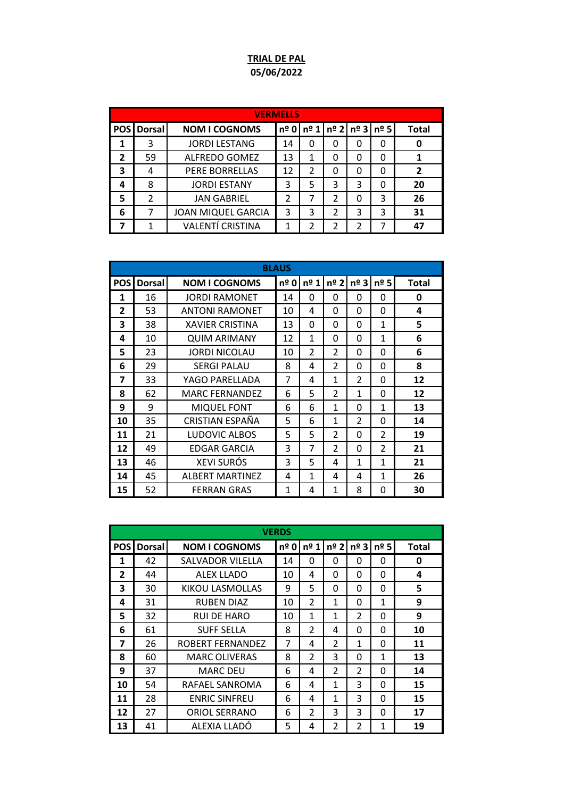## **TRIAL DE PAL 05/06/2022**

|   | <b>VERMELLS</b>   |                           |    |   |   |   |                                  |              |  |  |
|---|-------------------|---------------------------|----|---|---|---|----------------------------------|--------------|--|--|
|   | <b>POS</b> Dorsal | <b>NOM I COGNOMS</b>      |    |   |   |   | nº 0   nº 1   nº 2   nº 3   nº 5 | <b>Total</b> |  |  |
|   | 3                 | <b>JORDI LESTANG</b>      | 14 | 0 | 0 | 0 |                                  |              |  |  |
| 2 | 59                | <b>ALFREDO GOMEZ</b>      | 13 | 1 | 0 | O |                                  |              |  |  |
| 3 | 4                 | <b>PERE BORRELLAS</b>     | 12 | 2 | 0 | 0 |                                  |              |  |  |
|   | 8                 | <b>JORDI ESTANY</b>       | 3  | 5 | 3 | 3 |                                  | 20           |  |  |
| 5 | 2                 | <b>JAN GABRIEL</b>        | 2  | 7 | 2 | O | 3                                | 26           |  |  |
| 6 | 7                 | <b>JOAN MIQUEL GARCIA</b> | 3  | 3 | 2 | 3 | 3                                | 31           |  |  |
|   |                   | <b>VALENTÍ CRISTINA</b>   |    | 2 | 2 | 2 |                                  | 47           |  |  |

|                         | <b>BLAUS</b>  |                        |               |                |                |                |                |       |  |  |
|-------------------------|---------------|------------------------|---------------|----------------|----------------|----------------|----------------|-------|--|--|
| <b>POSI</b>             | <b>Dorsal</b> | <b>NOM I COGNOMS</b>   | $n^{\circ}$ 0 | $n^{\circ}$ 1  | $n^{\circ}$ 2  | $n^{\circ}$ 3  | $n^{\circ}$ 5  | Total |  |  |
| 1                       | 16            | <b>JORDI RAMONET</b>   | 14            | 0              | 0              | 0              | 0              | 0     |  |  |
| $\overline{2}$          | 53            | <b>ANTONI RAMONET</b>  | 10            | 4              | 0              | 0              | 0              | 4     |  |  |
| 3                       | 38            | <b>XAVIER CRISTINA</b> | 13            | 0              | O              | 0              | 1              | 5     |  |  |
| 4                       | 10            | <b>QUIM ARIMANY</b>    | 12            | 1              | 0              | 0              | 1              | 6     |  |  |
| 5                       | 23            | <b>JORDI NICOLAU</b>   | 10            | $\overline{2}$ | $\overline{2}$ | $\Omega$       | 0              | 6     |  |  |
| 6                       | 29            | <b>SERGI PALAU</b>     | 8             | 4              | $\overline{2}$ | 0              | 0              | 8     |  |  |
| $\overline{\mathbf{z}}$ | 33            | YAGO PARELLADA         | 7             | 4              | 1              | $\overline{2}$ | 0              | 12    |  |  |
| 8                       | 62            | <b>MARC FERNANDEZ</b>  | 6             | 5              | $\overline{2}$ | 1              | 0              | 12    |  |  |
| 9                       | 9             | <b>MIQUEL FONT</b>     | 6             | 6              | 1              | 0              | 1              | 13    |  |  |
| 10                      | 35            | CRISTIAN ESPAÑA        | 5             | 6              | 1              | $\overline{2}$ | 0              | 14    |  |  |
| 11                      | 21            | LUDOVIC ALBOS          | 5             | 5              | $\mathfrak{p}$ | $\Omega$       | $\overline{2}$ | 19    |  |  |
| 12                      | 49            | <b>EDGAR GARCIA</b>    | 3             | 7              | $\overline{2}$ | $\Omega$       | $\overline{2}$ | 21    |  |  |
| 13                      | 46            | <b>XEVI SURÓS</b>      | 3             | 5              | 4              | 1              | 1              | 21    |  |  |
| 14                      | 45            | ALBERT MARTINEZ        | 4             | 1              | 4              | 4              | 1              | 26    |  |  |
| 15                      | 52            | <b>FERRAN GRAS</b>     | 1             | 4              | 1              | 8              | O              | 30    |  |  |

|             | <b>VERDS</b>  |                      |      |                |                |                |               |              |  |  |
|-------------|---------------|----------------------|------|----------------|----------------|----------------|---------------|--------------|--|--|
| <b>POSI</b> | <b>Dorsal</b> | <b>NOM I COGNOMS</b> | nº 0 | $n^{\circ}$ 1  | $n^{\circ}$ 2  | $n^{\circ}$ 3  | $n^{\circ}$ 5 | <b>Total</b> |  |  |
| 1           | 42            | SALVADOR VILELLA     | 14   | 0              | 0              | 0              | 0             | 0            |  |  |
| 2           | 44            | <b>ALEX LLADO</b>    | 10   | 4              | $\Omega$       | 0              | $\Omega$      | 4            |  |  |
| 3           | 30            | KIKOU LASMOLLAS      | 9    | 5              | 0              | 0              | 0             | 5            |  |  |
| 4           | 31            | <b>RUBEN DIAZ</b>    | 10   | 2              | 1              | 0              | $\mathbf{1}$  | 9            |  |  |
| 5           | 32            | <b>RUI DE HARO</b>   | 10   | 1              | 1              | $\overline{2}$ | $\Omega$      | 9            |  |  |
| 6           | 61            | <b>SUFF SELLA</b>    | 8    | $\overline{2}$ | 4              | 0              | $\Omega$      | 10           |  |  |
| 7           | 26            | ROBERT FERNANDEZ     | 7    | 4              | $\overline{2}$ | 1              | $\Omega$      | 11           |  |  |
| 8           | 60            | <b>MARC OLIVERAS</b> | 8    | 2              | 3              | 0              | $\mathbf{1}$  | 13           |  |  |
| 9           | 37            | <b>MARC DEU</b>      | 6    | 4              | $\overline{2}$ | $\overline{2}$ | $\Omega$      | 14           |  |  |
| 10          | 54            | RAFAEL SANROMA       | 6    | 4              | 1              | 3              | $\Omega$      | 15           |  |  |
| 11          | 28            | <b>ENRIC SINFREU</b> | 6    | 4              | 1              | 3              | $\Omega$      | 15           |  |  |
| 12          | 27            | <b>ORIOL SERRANO</b> | 6    | $\overline{2}$ | 3              | 3              | 0             | 17           |  |  |
| 13          | 41            | ALEXIA LLADO         | 5    | 4              | $\overline{2}$ | $\overline{2}$ | 1             | 19           |  |  |